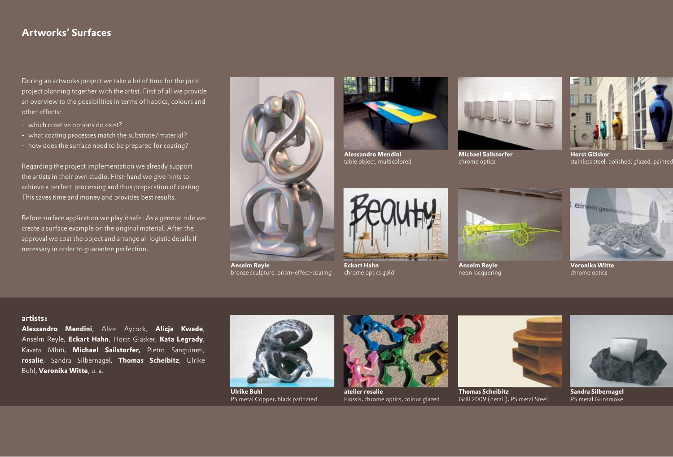# **Artworks' Surfaces**

During an artworks project we take a lot of time for the joint project planning together with the artist. First of all we provide an overview to the possibilities in terms of haptics, colours and other effects:

- which creative options do exist?
- what coating processes match the substrate/material?
- how does the surface need to be prepared for coating?

Regarding the project implementation we already support the artists in their own studio. First-hand we give hints to achieve a perfect processing and thus preparation of coating. This saves time and money and provides best results.

Before surface application we play it safe: As a general rule we create a surface example on the original material. After the approval we coat the object and arrange all logistic details if necessary in order to guarantee perfection.



**Anselm Reyle** bronze sculpture, prism-effect-coating



**Alessandro Mendini** table object, multicolored



**Michael Sailstorfer** chrome optics



**Horst Gläsker** stainless steel, polished, glazed, painted



**Eckart Hahn** chrome optics gold



**Anselm Reyle** neon lacquering



**Veronika Witte** chrome optics

#### **artists:**

**Alessandro Mendini**, Alice Aycock, **Alicja Kwade**, Anselm Reyle, **Eckart Hahn**, Horst Gläsker, **Kata Legrady**, Kavata Mbiti, **Michael Sailstorfer,** Pietro Sanguineti, **rosalie**, Sandra Silbernagel, **Thomas Scheibitz**, Ulrike Buhl, **Veronika Witte**, u. a.



**Ulrike Buhl** PS metal Copper, black patinated



**atelier rosalie** Flossis, chrome optics, colour glazed



**Thomas Scheibitz** Grill 2009 (detail), PS metal Steel



**Sandra Silbernagel** PS metal Gunsmoke